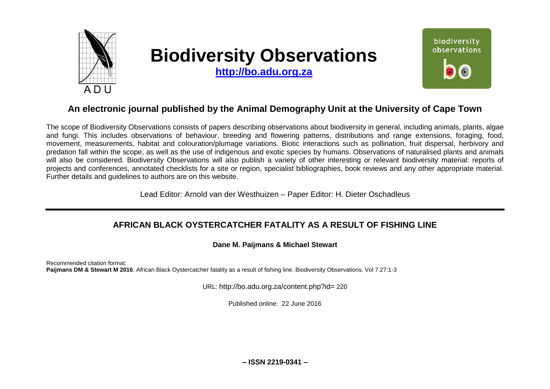

# **Biodiversity Observations**

**[http://bo.adu.org.za](http://bo.adu.org.za/)**



# **An electronic journal published by the Animal Demography Unit at the University of Cape Town**

The scope of Biodiversity Observations consists of papers describing observations about biodiversity in general, including animals, plants, algae and fungi. This includes observations of behaviour, breeding and flowering patterns, distributions and range extensions, foraging, food, movement, measurements, habitat and colouration/plumage variations. Biotic interactions such as pollination, fruit dispersal, herbivory and predation fall within the scope, as well as the use of indigenous and exotic species by humans. Observations of naturalised plants and animals will also be considered. Biodiversity Observations will also publish a variety of other interesting or relevant biodiversity material: reports of projects and conferences, annotated checklists for a site or region, specialist bibliographies, book reviews and any other appropriate material. Further details and guidelines to authors are on this website.

Lead Editor: Arnold van der Westhuizen – Paper Editor: H. Dieter Oschadleus

## **AFRICAN BLACK OYSTERCATCHER FATALITY AS A RESULT OF FISHING LINE**

### **Dane M. Paijmans & Michael Stewart**

Recommended citation format: **Paijmans DM & Stewart M 2016.** African Black Oystercatcher fatality as a result of fishing line. Biodiversity Observations, Vol 7.27:1-3

URL: http://bo.adu.org.za/content.php?id= 220

Published online: 22 June 2016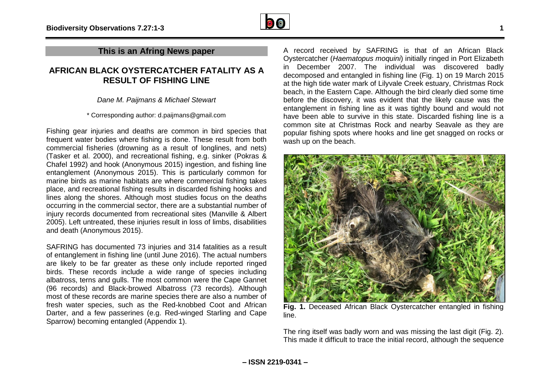

## **This is an Afring News paper**

## **AFRICAN BLACK OYSTERCATCHER FATALITY AS A RESULT OF FISHING LINE**

*Dane M. Paijmans & Michael Stewart*

\* Corresponding author: d.paijmans@gmail.com

Fishing gear injuries and deaths are common in bird species that frequent water bodies where fishing is done. These result from both commercial fisheries (drowning as a result of longlines, and nets) (Tasker et al. 2000), and recreational fishing, e.g. sinker (Pokras & Chafel 1992) and hook (Anonymous 2015) ingestion, and fishing line entanglement (Anonymous 2015). This is particularly common for marine birds as marine habitats are where commercial fishing takes place, and recreational fishing results in discarded fishing hooks and lines along the shores. Although most studies focus on the deaths occurring in the commercial sector, there are a substantial number of injury records documented from recreational sites (Manville & Albert 2005). Left untreated, these injuries result in loss of limbs, disabilities and death (Anonymous 2015).

SAFRING has documented 73 injuries and 314 fatalities as a result of entanglement in fishing line (until June 2016). The actual numbers are likely to be far greater as these only include reported ringed birds. These records include a wide range of species including albatross, terns and gulls. The most common were the Cape Gannet (96 records) and Black-browed Albatross (73 records). Although most of these records are marine species there are also a number of fresh water species, such as the Red-knobbed Coot and African Darter, and a few passerines (e.g. Red-winged Starling and Cape Sparrow) becoming entangled (Appendix 1).

A record received by SAFRING is that of an African Black Oystercatcher (*Haematopus moquini*) initially ringed in Port Elizabeth in December 2007. The individual was discovered badly decomposed and entangled in fishing line (Fig. 1) on 19 March 2015 at the high tide water mark of Lilyvale Creek estuary, Christmas Rock beach, in the Eastern Cape. Although the bird clearly died some time before the discovery, it was evident that the likely cause was the entanglement in fishing line as it was tightly bound and would not have been able to survive in this state. Discarded fishing line is a common site at Christmas Rock and nearby Seavale as they are popular fishing spots where hooks and line get snagged on rocks or wash up on the beach.



**Fig. 1.** Deceased African Black Oystercatcher entangled in fishing line.

The ring itself was badly worn and was missing the last digit (Fig. 2). This made it difficult to trace the initial record, although the sequence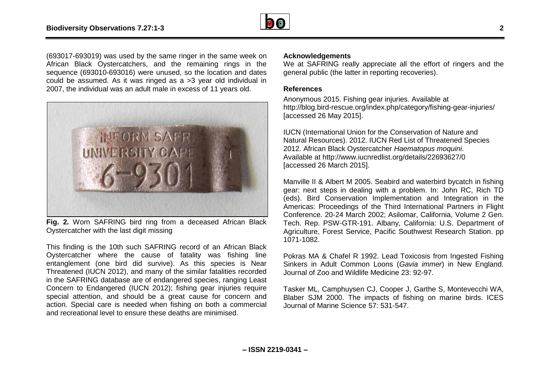

(693017-693019) was used by the same ringer in the same week on African Black Oystercatchers, and the remaining rings in the sequence (693010-693016) were unused, so the location and dates could be assumed. As it was ringed as a >3 year old individual in 2007, the individual was an adult male in excess of 11 years old.



**Fig. 2.** Worn SAFRING bird ring from a deceased African Black Oystercatcher with the last digit missing

This finding is the 10th such SAFRING record of an African Black Oystercatcher where the cause of fatality was fishing line entanglement (one bird did survive). As this species is Near Threatened (IUCN 2012), and many of the similar fatalities recorded in the SAFRING database are of endangered species, ranging Least Concern to Endangered (IUCN 2012); fishing gear injuries require special attention, and should be a great cause for concern and action. Special care is needed when fishing on both a commercial and recreational level to ensure these deaths are minimised.

#### **Acknowledgements**

We at SAFRING really appreciate all the effort of ringers and the general public (the latter in reporting recoveries).

#### **References**

Anonymous 2015. Fishing gear injuries. Available at http://blog.bird-rescue.org/index.php/category/fishing-gear-injuries/ [accessed 26 May 2015].

IUCN (International Union for the Conservation of Nature and Natural Resources). 2012. IUCN Red List of Threatened Species 2012. African Black Oystercatcher *Haematopus moquini*. Available at http://www.iucnredlist.org/details/22693627/0 [accessed 26 March 2015].

Manville II & Albert M 2005. Seabird and waterbird bycatch in fishing gear: next steps in dealing with a problem. In: John RC, Rich TD (eds). Bird Conservation Implementation and Integration in the Americas: Proceedings of the Third International Partners in Flight Conference. 20-24 March 2002; Asilomar, California, Volume 2 Gen. Tech. Rep. PSW-GTR-191. Albany, California: U.S. Department of Agriculture, Forest Service, Pacific Southwest Research Station. pp 1071-1082.

Pokras MA & Chafel R 1992. Lead Toxicosis from Ingested Fishing Sinkers in Adult Common Loons (*Gavia immer*) in New England. Journal of Zoo and Wildlife Medicine 23: 92-97.

Tasker ML, Camphuysen CJ, Cooper J, Garthe S, Montevecchi WA, Blaber SJM 2000. The impacts of fishing on marine birds. ICES Journal of Marine Science 57: 531-547.